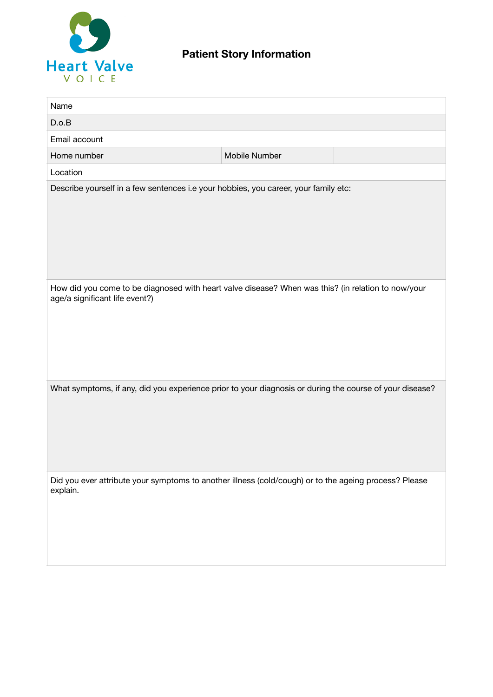

| Name                                                                                                                                 |  |                                                                                                       |  |  |
|--------------------------------------------------------------------------------------------------------------------------------------|--|-------------------------------------------------------------------------------------------------------|--|--|
| D.o.B                                                                                                                                |  |                                                                                                       |  |  |
| Email account                                                                                                                        |  |                                                                                                       |  |  |
| Home number                                                                                                                          |  | Mobile Number                                                                                         |  |  |
| Location                                                                                                                             |  |                                                                                                       |  |  |
| Describe yourself in a few sentences i.e your hobbies, you career, your family etc:                                                  |  |                                                                                                       |  |  |
| How did you come to be diagnosed with heart valve disease? When was this? (in relation to now/your<br>age/a significant life event?) |  |                                                                                                       |  |  |
| What symptoms, if any, did you experience prior to your diagnosis or during the course of your disease?                              |  |                                                                                                       |  |  |
| explain.                                                                                                                             |  | Did you ever attribute your symptoms to another illness (cold/cough) or to the ageing process? Please |  |  |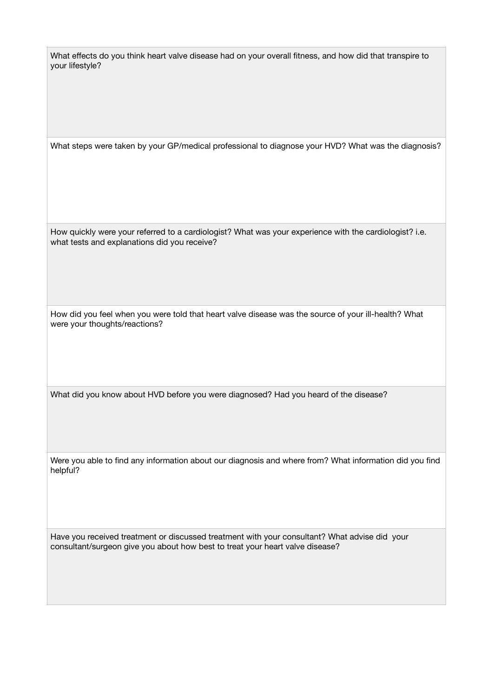What effects do you think heart valve disease had on your overall fitness, and how did that transpire to your lifestyle?

What steps were taken by your GP/medical professional to diagnose your HVD? What was the diagnosis?

How quickly were your referred to a cardiologist? What was your experience with the cardiologist? i.e. what tests and explanations did you receive?

How did you feel when you were told that heart valve disease was the source of your ill-health? What were your thoughts/reactions?

What did you know about HVD before you were diagnosed? Had you heard of the disease?

Were you able to find any information about our diagnosis and where from? What information did you find helpful?

Have you received treatment or discussed treatment with your consultant? What advise did your consultant/surgeon give you about how best to treat your heart valve disease?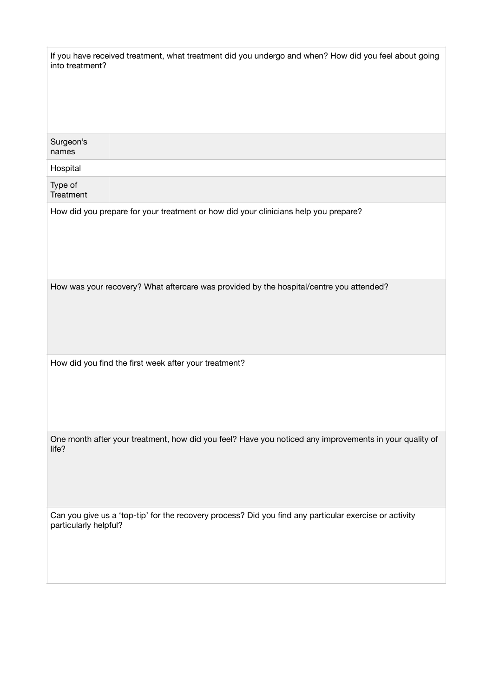| If you have received treatment, what treatment did you undergo and when? How did you feel about going<br>into treatment?        |  |  |  |
|---------------------------------------------------------------------------------------------------------------------------------|--|--|--|
| Surgeon's<br>names                                                                                                              |  |  |  |
| Hospital                                                                                                                        |  |  |  |
| Type of<br>Treatment                                                                                                            |  |  |  |
| How did you prepare for your treatment or how did your clinicians help you prepare?                                             |  |  |  |
| How was your recovery? What aftercare was provided by the hospital/centre you attended?                                         |  |  |  |
| How did you find the first week after your treatment?                                                                           |  |  |  |
| One month after your treatment, how did you feel? Have you noticed any improvements in your quality of<br>life?                 |  |  |  |
| Can you give us a 'top-tip' for the recovery process? Did you find any particular exercise or activity<br>particularly helpful? |  |  |  |